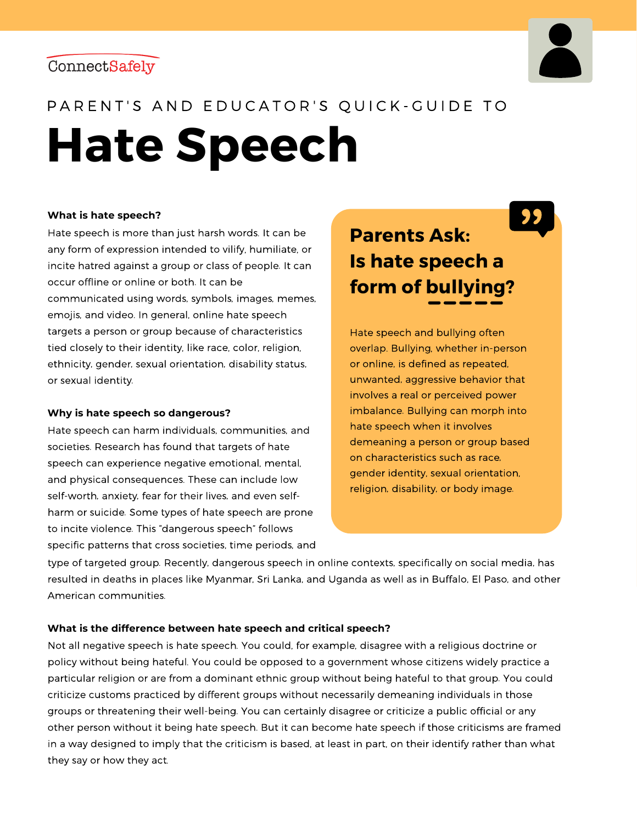



## PARENT'S AND EDUCATOR'S QUICK-GUIDE TO

**Hate Speech**

#### **What is hate speech?**

Hate speech is more than just harsh words. It can be any form of expression intended to vilify, humiliate, or incite hatred against a group or class of people. It can occur offline or online or both. It can be communicated using words, symbols, images, memes, emojis, and video. In general, online hate speech targets a person or group because of characteristics tied closely to their identity, like race, color, religion, ethnicity, gender, sexual orientation, disability status, or sexual identity.

### **Why is hate speech so dangerous?**

Hate speech can harm individuals, communities, and societies. Research has found that targets of hate speech can experience negative emotional, mental, and physical consequences. These can include low self-worth, anxiety, fear for their lives, and even selfharm or suicide. Some types of hate speech are prone to incite violence. This "dangerous speech" follows specific patterns that cross societies, time periods, and

# **Parents Ask: Is hate speech a form of bullying?**

Hate speech and bullying often overlap. Bullying, whether in-person or online, is defined as repeated, unwanted, aggressive behavior that involves a real or perceived power imbalance. Bullying can morph into hate speech when it involves demeaning a person or group based on characteristics such as race, gender identity, sexual orientation, religion, disability, or body image.

type of targeted group. Recently, dangerous speech in online contexts, specifically on social media, has resulted in deaths in places like Myanmar, Sri Lanka, and Uganda as well as in Buffalo, El Paso, and other American communities.

### **What is the difference between hate speech and critical speech?**

Not all negative speech is hate speech. You could, for example, disagree with a religious doctrine or policy without being hateful. You could be opposed to a government whose citizens widely practice a particular religion or are from a dominant ethnic group without being hateful to that group. You could criticize customs practiced by different groups without necessarily demeaning individuals in those groups or threatening their well-being. You can certainly disagree or criticize a public official or any other person without it being hate speech. But it can become hate speech if those criticisms are framed in a way designed to imply that the criticism is based, at least in part, on their identify rather than what they say or how they act.